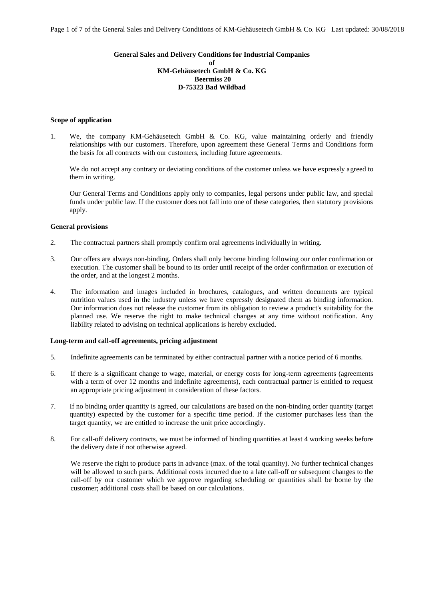## **General Sales and Delivery Conditions for Industrial Companies of KM-Gehäusetech GmbH & Co. KG Beermiss 20 D-75323 Bad Wildbad**

#### **Scope of application**

1. We, the company KM-Gehäusetech GmbH & Co. KG, value maintaining orderly and friendly relationships with our customers. Therefore, upon agreement these General Terms and Conditions form the basis for all contracts with our customers, including future agreements.

We do not accept any contrary or deviating conditions of the customer unless we have expressly agreed to them in writing.

Our General Terms and Conditions apply only to companies, legal persons under public law, and special funds under public law. If the customer does not fall into one of these categories, then statutory provisions apply.

## **General provisions**

- 2. The contractual partners shall promptly confirm oral agreements individually in writing.
- 3. Our offers are always non-binding. Orders shall only become binding following our order confirmation or execution. The customer shall be bound to its order until receipt of the order confirmation or execution of the order, and at the longest 2 months.
- 4. The information and images included in brochures, catalogues, and written documents are typical nutrition values used in the industry unless we have expressly designated them as binding information. Our information does not release the customer from its obligation to review a product's suitability for the planned use. We reserve the right to make technical changes at any time without notification. Any liability related to advising on technical applications is hereby excluded.

## **Long-term and call-off agreements, pricing adjustment**

- 5. Indefinite agreements can be terminated by either contractual partner with a notice period of 6 months.
- 6. If there is a significant change to wage, material, or energy costs for long-term agreements (agreements with a term of over 12 months and indefinite agreements), each contractual partner is entitled to request an appropriate pricing adjustment in consideration of these factors.
- 7. If no binding order quantity is agreed, our calculations are based on the non-binding order quantity (target quantity) expected by the customer for a specific time period. If the customer purchases less than the target quantity, we are entitled to increase the unit price accordingly.
- 8. For call-off delivery contracts, we must be informed of binding quantities at least 4 working weeks before the delivery date if not otherwise agreed.

We reserve the right to produce parts in advance (max. of the total quantity). No further technical changes will be allowed to such parts. Additional costs incurred due to a late call-off or subsequent changes to the call-off by our customer which we approve regarding scheduling or quantities shall be borne by the customer; additional costs shall be based on our calculations.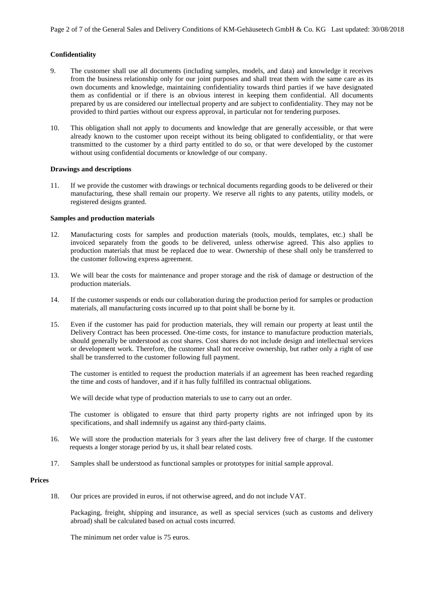# **Confidentiality**

- 9. The customer shall use all documents (including samples, models, and data) and knowledge it receives from the business relationship only for our joint purposes and shall treat them with the same care as its own documents and knowledge, maintaining confidentiality towards third parties if we have designated them as confidential or if there is an obvious interest in keeping them confidential. All documents prepared by us are considered our intellectual property and are subject to confidentiality. They may not be provided to third parties without our express approval, in particular not for tendering purposes.
- 10. This obligation shall not apply to documents and knowledge that are generally accessible, or that were already known to the customer upon receipt without its being obligated to confidentiality, or that were transmitted to the customer by a third party entitled to do so, or that were developed by the customer without using confidential documents or knowledge of our company.

## **Drawings and descriptions**

11. If we provide the customer with drawings or technical documents regarding goods to be delivered or their manufacturing, these shall remain our property. We reserve all rights to any patents, utility models, or registered designs granted.

## **Samples and production materials**

- 12. Manufacturing costs for samples and production materials (tools, moulds, templates, etc.) shall be invoiced separately from the goods to be delivered, unless otherwise agreed. This also applies to production materials that must be replaced due to wear. Ownership of these shall only be transferred to the customer following express agreement.
- 13. We will bear the costs for maintenance and proper storage and the risk of damage or destruction of the production materials.
- 14. If the customer suspends or ends our collaboration during the production period for samples or production materials, all manufacturing costs incurred up to that point shall be borne by it.
- 15. Even if the customer has paid for production materials, they will remain our property at least until the Delivery Contract has been processed. One-time costs, for instance to manufacture production materials, should generally be understood as cost shares. Cost shares do not include design and intellectual services or development work. Therefore, the customer shall not receive ownership, but rather only a right of use shall be transferred to the customer following full payment.

The customer is entitled to request the production materials if an agreement has been reached regarding the time and costs of handover, and if it has fully fulfilled its contractual obligations.

We will decide what type of production materials to use to carry out an order.

The customer is obligated to ensure that third party property rights are not infringed upon by its specifications, and shall indemnify us against any third-party claims.

- 16. We will store the production materials for 3 years after the last delivery free of charge. If the customer requests a longer storage period by us, it shall bear related costs.
- 17. Samples shall be understood as functional samples or prototypes for initial sample approval.

### **Prices**

18. Our prices are provided in euros, if not otherwise agreed, and do not include VAT.

Packaging, freight, shipping and insurance, as well as special services (such as customs and delivery abroad) shall be calculated based on actual costs incurred.

The minimum net order value is 75 euros.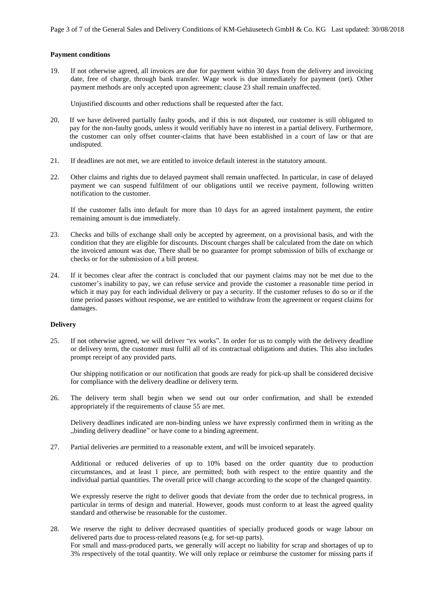## **Payment conditions**

19. If not otherwise agreed, all invoices are due for payment within 30 days from the delivery and invoicing date, free of charge, through bank transfer. Wage work is due immediately for payment (net). Other payment methods are only accepted upon agreement; clause 23 shall remain unaffected.

Unjustified discounts and other reductions shall be requested after the fact.

- 20. If we have delivered partially faulty goods, and if this is not disputed, our customer is still obligated to pay for the non-faulty goods, unless it would verifiably have no interest in a partial delivery. Furthermore, the customer can only offset counter-claims that have been established in a court of law or that are undisputed.
- 21. If deadlines are not met, we are entitled to invoice default interest in the statutory amount.
- 22. Other claims and rights due to delayed payment shall remain unaffected. In particular, in case of delayed payment we can suspend fulfilment of our obligations until we receive payment, following written notification to the customer.

If the customer falls into default for more than 10 days for an agreed instalment payment, the entire remaining amount is due immediately.

- 23. Checks and bills of exchange shall only be accepted by agreement, on a provisional basis, and with the condition that they are eligible for discounts. Discount charges shall be calculated from the date on which the invoiced amount was due. There shall be no guarantee for prompt submission of bills of exchange or checks or for the submission of a bill protest.
- 24. If it becomes clear after the contract is concluded that our payment claims may not be met due to the customer's inability to pay, we can refuse service and provide the customer a reasonable time period in which it may pay for each individual delivery or pay a security. If the customer refuses to do so or if the time period passes without response, we are entitled to withdraw from the agreement or request claims for damages.

#### **Delivery**

25. If not otherwise agreed, we will deliver "ex works". In order for us to comply with the delivery deadline or delivery term, the customer must fulfil all of its contractual obligations and duties. This also includes prompt receipt of any provided parts.

Our shipping notification or our notification that goods are ready for pick-up shall be considered decisive for compliance with the delivery deadline or delivery term.

26. The delivery term shall begin when we send out our order confirmation, and shall be extended appropriately if the requirements of clause 55 are met.

Delivery deadlines indicated are non-binding unless we have expressly confirmed them in writing as the "binding delivery deadline" or have come to a binding agreement.

27. Partial deliveries are permitted to a reasonable extent, and will be invoiced separately.

Additional or reduced deliveries of up to 10% based on the order quantity due to production circumstances, and at least 1 piece, are permitted; both with respect to the entire quantity and the individual partial quantities. The overall price will change according to the scope of the changed quantity.

We expressly reserve the right to deliver goods that deviate from the order due to technical progress, in particular in terms of design and material. However, goods must conform to at least the agreed quality standard and otherwise be reasonable for the customer.

28. We reserve the right to deliver decreased quantities of specially produced goods or wage labour on delivered parts due to process-related reasons (e.g. for set-up parts). For small and mass-produced parts, we generally will accept no liability for scrap and shortages of up to 3% respectively of the total quantity. We will only replace or reimburse the customer for missing parts if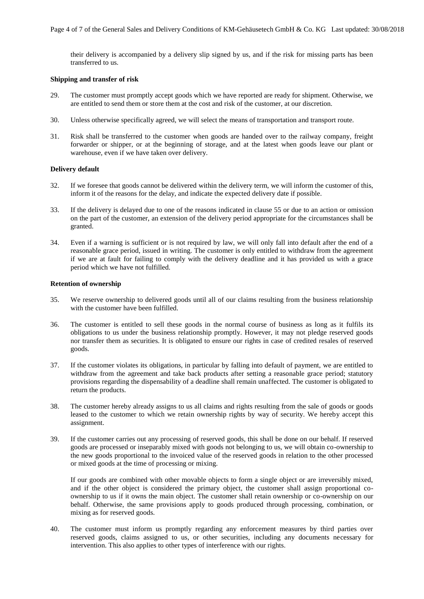their delivery is accompanied by a delivery slip signed by us, and if the risk for missing parts has been transferred to us.

## **Shipping and transfer of risk**

- 29. The customer must promptly accept goods which we have reported are ready for shipment. Otherwise, we are entitled to send them or store them at the cost and risk of the customer, at our discretion.
- 30. Unless otherwise specifically agreed, we will select the means of transportation and transport route.
- 31. Risk shall be transferred to the customer when goods are handed over to the railway company, freight forwarder or shipper, or at the beginning of storage, and at the latest when goods leave our plant or warehouse, even if we have taken over delivery.

# **Delivery default**

- 32. If we foresee that goods cannot be delivered within the delivery term, we will inform the customer of this, inform it of the reasons for the delay, and indicate the expected delivery date if possible.
- 33. If the delivery is delayed due to one of the reasons indicated in clause 55 or due to an action or omission on the part of the customer, an extension of the delivery period appropriate for the circumstances shall be granted.
- 34. Even if a warning is sufficient or is not required by law, we will only fall into default after the end of a reasonable grace period, issued in writing. The customer is only entitled to withdraw from the agreement if we are at fault for failing to comply with the delivery deadline and it has provided us with a grace period which we have not fulfilled.

# **Retention of ownership**

- 35. We reserve ownership to delivered goods until all of our claims resulting from the business relationship with the customer have been fulfilled.
- 36. The customer is entitled to sell these goods in the normal course of business as long as it fulfils its obligations to us under the business relationship promptly. However, it may not pledge reserved goods nor transfer them as securities. It is obligated to ensure our rights in case of credited resales of reserved goods.
- 37. If the customer violates its obligations, in particular by falling into default of payment, we are entitled to withdraw from the agreement and take back products after setting a reasonable grace period; statutory provisions regarding the dispensability of a deadline shall remain unaffected. The customer is obligated to return the products.
- 38. The customer hereby already assigns to us all claims and rights resulting from the sale of goods or goods leased to the customer to which we retain ownership rights by way of security. We hereby accept this assignment.
- 39. If the customer carries out any processing of reserved goods, this shall be done on our behalf. If reserved goods are processed or inseparably mixed with goods not belonging to us, we will obtain co-ownership to the new goods proportional to the invoiced value of the reserved goods in relation to the other processed or mixed goods at the time of processing or mixing.

If our goods are combined with other movable objects to form a single object or are irreversibly mixed, and if the other object is considered the primary object, the customer shall assign proportional coownership to us if it owns the main object. The customer shall retain ownership or co-ownership on our behalf. Otherwise, the same provisions apply to goods produced through processing, combination, or mixing as for reserved goods.

40. The customer must inform us promptly regarding any enforcement measures by third parties over reserved goods, claims assigned to us, or other securities, including any documents necessary for intervention. This also applies to other types of interference with our rights.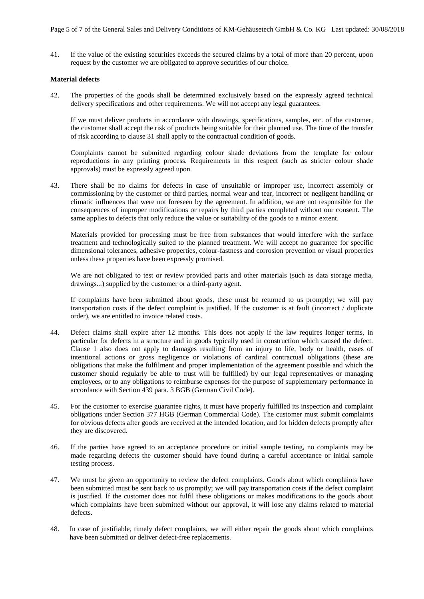41. If the value of the existing securities exceeds the secured claims by a total of more than 20 percent, upon request by the customer we are obligated to approve securities of our choice.

## **Material defects**

42. The properties of the goods shall be determined exclusively based on the expressly agreed technical delivery specifications and other requirements. We will not accept any legal guarantees.

If we must deliver products in accordance with drawings, specifications, samples, etc. of the customer, the customer shall accept the risk of products being suitable for their planned use. The time of the transfer of risk according to clause 31 shall apply to the contractual condition of goods.

Complaints cannot be submitted regarding colour shade deviations from the template for colour reproductions in any printing process. Requirements in this respect (such as stricter colour shade approvals) must be expressly agreed upon.

43. There shall be no claims for defects in case of unsuitable or improper use, incorrect assembly or commissioning by the customer or third parties, normal wear and tear, incorrect or negligent handling or climatic influences that were not foreseen by the agreement. In addition, we are not responsible for the consequences of improper modifications or repairs by third parties completed without our consent. The same applies to defects that only reduce the value or suitability of the goods to a minor extent.

Materials provided for processing must be free from substances that would interfere with the surface treatment and technologically suited to the planned treatment. We will accept no guarantee for specific dimensional tolerances, adhesive properties, colour-fastness and corrosion prevention or visual properties unless these properties have been expressly promised.

We are not obligated to test or review provided parts and other materials (such as data storage media, drawings...) supplied by the customer or a third-party agent.

If complaints have been submitted about goods, these must be returned to us promptly; we will pay transportation costs if the defect complaint is justified. If the customer is at fault (incorrect / duplicate order), we are entitled to invoice related costs.

- 44. Defect claims shall expire after 12 months. This does not apply if the law requires longer terms, in particular for defects in a structure and in goods typically used in construction which caused the defect. Clause 1 also does not apply to damages resulting from an injury to life, body or health, cases of intentional actions or gross negligence or violations of cardinal contractual obligations (these are obligations that make the fulfilment and proper implementation of the agreement possible and which the customer should regularly be able to trust will be fulfilled) by our legal representatives or managing employees, or to any obligations to reimburse expenses for the purpose of supplementary performance in accordance with Section 439 para. 3 BGB (German Civil Code).
- 45. For the customer to exercise guarantee rights, it must have properly fulfilled its inspection and complaint obligations under Section 377 HGB (German Commercial Code). The customer must submit complaints for obvious defects after goods are received at the intended location, and for hidden defects promptly after they are discovered.
- 46. If the parties have agreed to an acceptance procedure or initial sample testing, no complaints may be made regarding defects the customer should have found during a careful acceptance or initial sample testing process.
- 47. We must be given an opportunity to review the defect complaints. Goods about which complaints have been submitted must be sent back to us promptly; we will pay transportation costs if the defect complaint is justified. If the customer does not fulfil these obligations or makes modifications to the goods about which complaints have been submitted without our approval, it will lose any claims related to material defects.
- 48. In case of justifiable, timely defect complaints, we will either repair the goods about which complaints have been submitted or deliver defect-free replacements.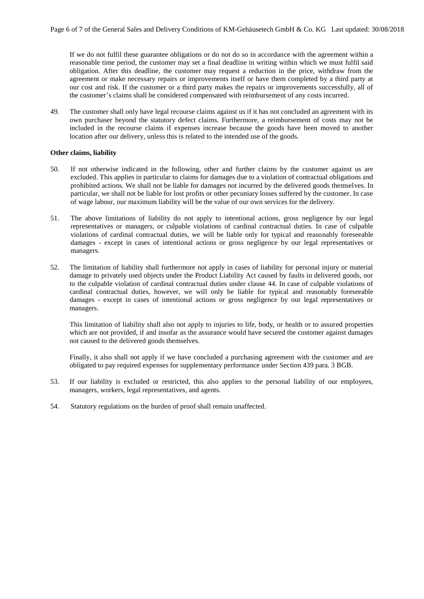If we do not fulfil these guarantee obligations or do not do so in accordance with the agreement within a reasonable time period, the customer may set a final deadline in writing within which we must fulfil said obligation. After this deadline, the customer may request a reduction in the price, withdraw from the agreement or make necessary repairs or improvements itself or have them completed by a third party at our cost and risk. If the customer or a third party makes the repairs or improvements successfully, all of the customer's claims shall be considered compensated with reimbursement of any costs incurred.

49. The customer shall only have legal recourse claims against us if it has not concluded an agreement with its own purchaser beyond the statutory defect claims. Furthermore, a reimbursement of costs may not be included in the recourse claims if expenses increase because the goods have been moved to another location after our delivery, unless this is related to the intended use of the goods.

## **Other claims, liability**

- 50. If not otherwise indicated in the following, other and further claims by the customer against us are excluded. This applies in particular to claims for damages due to a violation of contractual obligations and prohibited actions. We shall not be liable for damages not incurred by the delivered goods themselves. In particular, we shall not be liable for lost profits or other pecuniary losses suffered by the customer. In case of wage labour, our maximum liability will be the value of our own services for the delivery.
- 51. The above limitations of liability do not apply to intentional actions, gross negligence by our legal representatives or managers, or culpable violations of cardinal contractual duties. In case of culpable violations of cardinal contractual duties, we will be liable only for typical and reasonably foreseeable damages - except in cases of intentional actions or gross negligence by our legal representatives or managers.
- 52. The limitation of liability shall furthermore not apply in cases of liability for personal injury or material damage to privately used objects under the Product Liability Act caused by faults in delivered goods, nor to the culpable violation of cardinal contractual duties under clause 44. In case of culpable violations of cardinal contractual duties, however, we will only be liable for typical and reasonably foreseeable damages - except in cases of intentional actions or gross negligence by our legal representatives or managers.

This limitation of liability shall also not apply to injuries to life, body, or health or to assured properties which are not provided, if and insofar as the assurance would have secured the customer against damages not caused to the delivered goods themselves.

Finally, it also shall not apply if we have concluded a purchasing agreement with the customer and are obligated to pay required expenses for supplementary performance under Section 439 para. 3 BGB.

- 53. If our liability is excluded or restricted, this also applies to the personal liability of our employees, managers, workers, legal representatives, and agents.
- 54. Statutory regulations on the burden of proof shall remain unaffected.